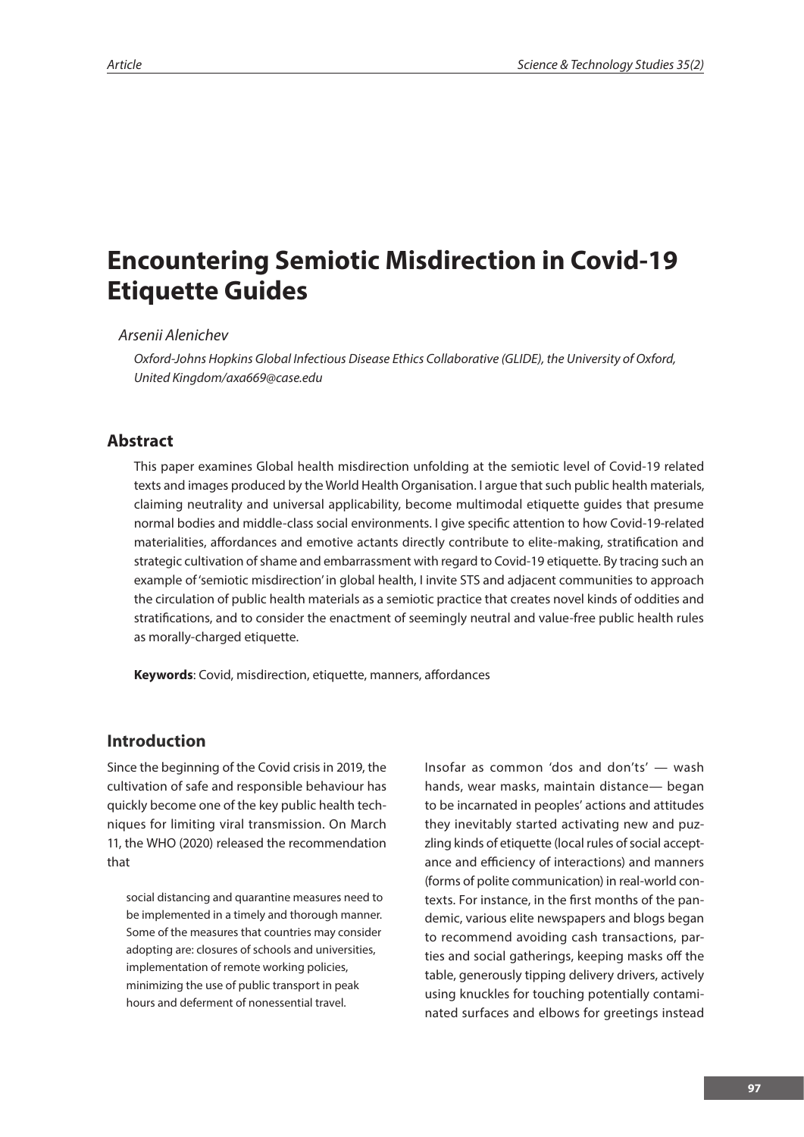# **Encountering Semiotic Misdirection in Covid-19 Etiquette Guides**

#### *Arsenii Alenichev*

*Oxford-Johns Hopkins Global Infectious Disease Ethics Collaborative (GLIDE), the University of Oxford, United Kingdom/axa669@case.edu*

#### **Abstract**

This paper examines Global health misdirection unfolding at the semiotic level of Covid-19 related texts and images produced by the World Health Organisation. I argue that such public health materials, claiming neutrality and universal applicability, become multimodal etiquette guides that presume normal bodies and middle-class social environments. I give specific attention to how Covid-19-related materialities, affordances and emotive actants directly contribute to elite-making, stratification and strategic cultivation of shame and embarrassment with regard to Covid-19 etiquette. By tracing such an example of 'semiotic misdirection' in global health, I invite STS and adjacent communities to approach the circulation of public health materials as a semiotic practice that creates novel kinds of oddities and stratifications, and to consider the enactment of seemingly neutral and value-free public health rules as morally-charged etiquette.

**Keywords**: Covid, misdirection, etiquette, manners, affordances

#### **Introduction**

Since the beginning of the Covid crisis in 2019, the cultivation of safe and responsible behaviour has quickly become one of the key public health techniques for limiting viral transmission. On March 11, the WHO (2020) released the recommendation that

social distancing and quarantine measures need to be implemented in a timely and thorough manner. Some of the measures that countries may consider adopting are: closures of schools and universities, implementation of remote working policies, minimizing the use of public transport in peak hours and deferment of nonessential travel.

Insofar as common 'dos and don'ts' — wash hands, wear masks, maintain distance— began to be incarnated in peoples' actions and attitudes they inevitably started activating new and puzzling kinds of etiquette (local rules of social acceptance and efficiency of interactions) and manners (forms of polite communication) in real-world contexts. For instance, in the first months of the pandemic, various elite newspapers and blogs began to recommend avoiding cash transactions, parties and social gatherings, keeping masks off the table, generously tipping delivery drivers, actively using knuckles for touching potentially contaminated surfaces and elbows for greetings instead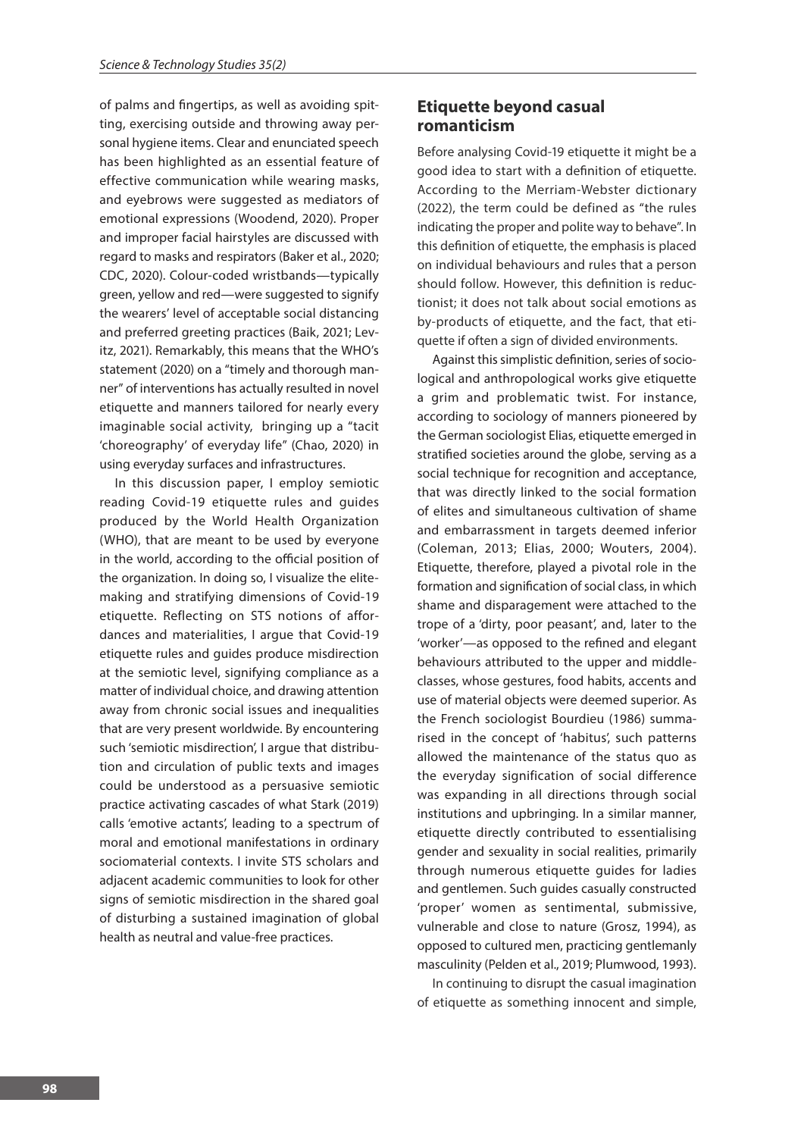of palms and fingertips, as well as avoiding spitting, exercising outside and throwing away personal hygiene items. Clear and enunciated speech has been highlighted as an essential feature of effective communication while wearing masks, and eyebrows were suggested as mediators of emotional expressions (Woodend, 2020). Proper and improper facial hairstyles are discussed with regard to masks and respirators (Baker et al., 2020; CDC, 2020). Colour-coded wristbands—typically green, yellow and red—were suggested to signify the wearers' level of acceptable social distancing and preferred greeting practices (Baik, 2021; Levitz, 2021). Remarkably, this means that the WHO's statement (2020) on a "timely and thorough manner" of interventions has actually resulted in novel etiquette and manners tailored for nearly every imaginable social activity, bringing up a "tacit 'choreography' of everyday life" (Chao, 2020) in using everyday surfaces and infrastructures.

In this discussion paper, I employ semiotic reading Covid-19 etiquette rules and guides produced by the World Health Organization (WHO), that are meant to be used by everyone in the world, according to the official position of the organization. In doing so, I visualize the elitemaking and stratifying dimensions of Covid-19 etiquette. Reflecting on STS notions of affordances and materialities, I argue that Covid-19 etiquette rules and guides produce misdirection at the semiotic level, signifying compliance as a matter of individual choice, and drawing attention away from chronic social issues and inequalities that are very present worldwide. By encountering such 'semiotic misdirection', I arque that distribution and circulation of public texts and images could be understood as a persuasive semiotic practice activating cascades of what Stark (2019) calls 'emotive actants', leading to a spectrum of moral and emotional manifestations in ordinary sociomaterial contexts. I invite STS scholars and adjacent academic communities to look for other signs of semiotic misdirection in the shared goal of disturbing a sustained imagination of global health as neutral and value-free practices.

## **Etiquette beyond casual romanticism**

Before analysing Covid-19 etiquette it might be a good idea to start with a definition of etiquette. According to the Merriam-Webster dictionary (2022), the term could be defined as "the rules indicating the proper and polite way to behave". In this definition of etiquette, the emphasis is placed on individual behaviours and rules that a person should follow. However, this definition is reductionist; it does not talk about social emotions as by-products of etiquette, and the fact, that etiquette if often a sign of divided environments.

Against this simplistic definition, series of sociological and anthropological works give etiquette a grim and problematic twist. For instance, according to sociology of manners pioneered by the German sociologist Elias, etiquette emerged in stratified societies around the globe, serving as a social technique for recognition and acceptance, that was directly linked to the social formation of elites and simultaneous cultivation of shame and embarrassment in targets deemed inferior (Coleman, 2013; Elias, 2000; Wouters, 2004). Etiquette, therefore, played a pivotal role in the formation and signification of social class, in which shame and disparagement were attached to the trope of a 'dirty, poor peasant', and, later to the 'worker'—as opposed to the refined and elegant behaviours attributed to the upper and middleclasses, whose gestures, food habits, accents and use of material objects were deemed superior. As the French sociologist Bourdieu (1986) summarised in the concept of 'habitus', such patterns allowed the maintenance of the status quo as the everyday signification of social difference was expanding in all directions through social institutions and upbringing. In a similar manner, etiquette directly contributed to essentialising gender and sexuality in social realities, primarily through numerous etiquette guides for ladies and gentlemen. Such guides casually constructed 'proper' women as sentimental, submissive, vulnerable and close to nature (Grosz, 1994), as opposed to cultured men, practicing gentlemanly masculinity (Pelden et al., 2019; Plumwood, 1993).

In continuing to disrupt the casual imagination of etiquette as something innocent and simple,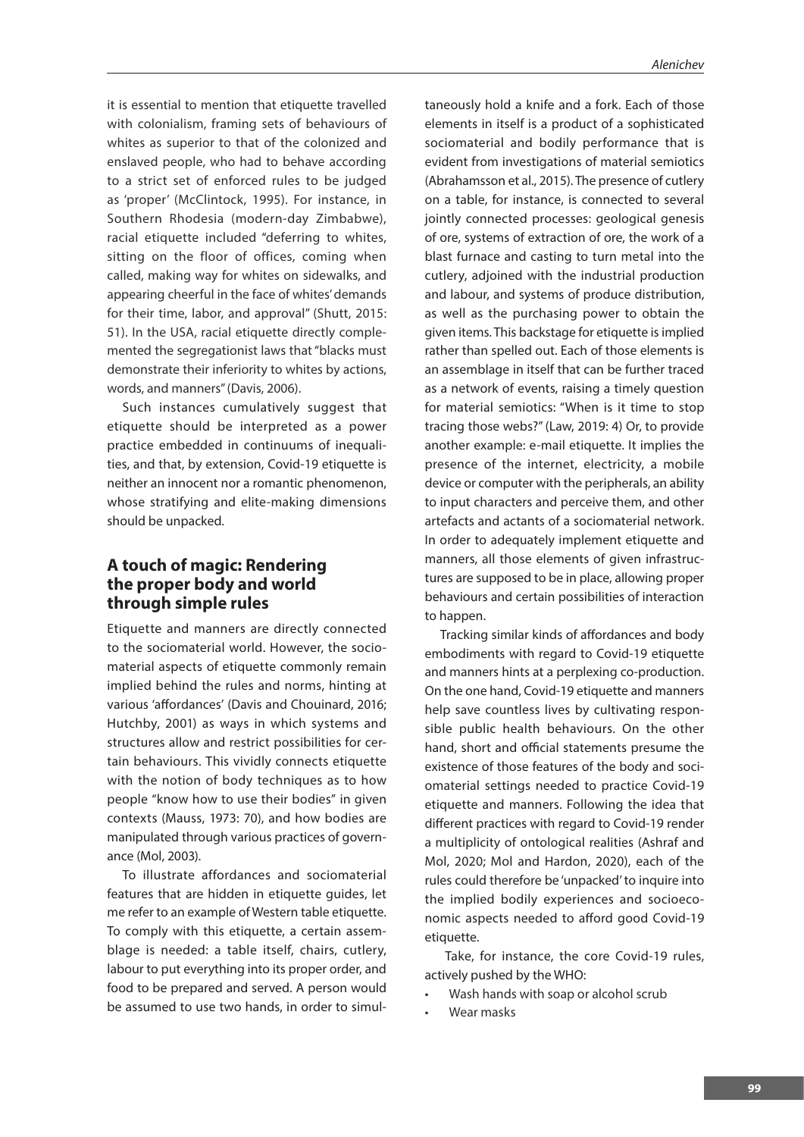it is essential to mention that etiquette travelled with colonialism, framing sets of behaviours of whites as superior to that of the colonized and enslaved people, who had to behave according to a strict set of enforced rules to be judged as 'proper' (McClintock, 1995). For instance, in Southern Rhodesia (modern-day Zimbabwe), racial etiquette included "deferring to whites, sitting on the floor of offices, coming when called, making way for whites on sidewalks, and appearing cheerful in the face of whites' demands for their time, labor, and approval" (Shutt, 2015: 51). In the USA, racial etiquette directly complemented the segregationist laws that "blacks must demonstrate their inferiority to whites by actions, words, and manners" (Davis, 2006).

Such instances cumulatively suggest that etiquette should be interpreted as a power practice embedded in continuums of inequalities, and that, by extension, Covid-19 etiquette is neither an innocent nor a romantic phenomenon, whose stratifying and elite-making dimensions should be unpacked.

### **A touch of magic: Rendering the proper body and world through simple rules**

Etiquette and manners are directly connected to the sociomaterial world. However, the sociomaterial aspects of etiquette commonly remain implied behind the rules and norms, hinting at various 'affordances' (Davis and Chouinard, 2016; Hutchby, 2001) as ways in which systems and structures allow and restrict possibilities for certain behaviours. This vividly connects etiquette with the notion of body techniques as to how people "know how to use their bodies" in given contexts (Mauss, 1973: 70), and how bodies are manipulated through various practices of governance (Mol, 2003).

To illustrate affordances and sociomaterial features that are hidden in etiquette guides, let me refer to an example of Western table etiquette. To comply with this etiquette, a certain assemblage is needed: a table itself, chairs, cutlery, labour to put everything into its proper order, and food to be prepared and served. A person would be assumed to use two hands, in order to simul-

taneously hold a knife and a fork. Each of those elements in itself is a product of a sophisticated sociomaterial and bodily performance that is evident from investigations of material semiotics (Abrahamsson et al., 2015). The presence of cutlery on a table, for instance, is connected to several jointly connected processes: geological genesis of ore, systems of extraction of ore, the work of a blast furnace and casting to turn metal into the cutlery, adjoined with the industrial production and labour, and systems of produce distribution, as well as the purchasing power to obtain the given items. This backstage for etiquette is implied rather than spelled out. Each of those elements is an assemblage in itself that can be further traced as a network of events, raising a timely question for material semiotics: "When is it time to stop tracing those webs?" (Law, 2019: 4) Or, to provide another example: e-mail etiquette. It implies the presence of the internet, electricity, a mobile device or computer with the peripherals, an ability to input characters and perceive them, and other artefacts and actants of a sociomaterial network. In order to adequately implement etiquette and manners, all those elements of given infrastructures are supposed to be in place, allowing proper behaviours and certain possibilities of interaction to happen.

Tracking similar kinds of affordances and body embodiments with regard to Covid-19 etiquette and manners hints at a perplexing co-production. On the one hand, Covid-19 etiquette and manners help save countless lives by cultivating responsible public health behaviours. On the other hand, short and official statements presume the existence of those features of the body and sociomaterial settings needed to practice Covid-19 etiquette and manners. Following the idea that different practices with regard to Covid-19 render a multiplicity of ontological realities (Ashraf and Mol, 2020; Mol and Hardon, 2020), each of the rules could therefore be 'unpacked' to inquire into the implied bodily experiences and socioeconomic aspects needed to afford good Covid-19 etiquette.

 Take, for instance, the core Covid-19 rules, actively pushed by the WHO:

- Wash hands with soap or alcohol scrub
- Wear masks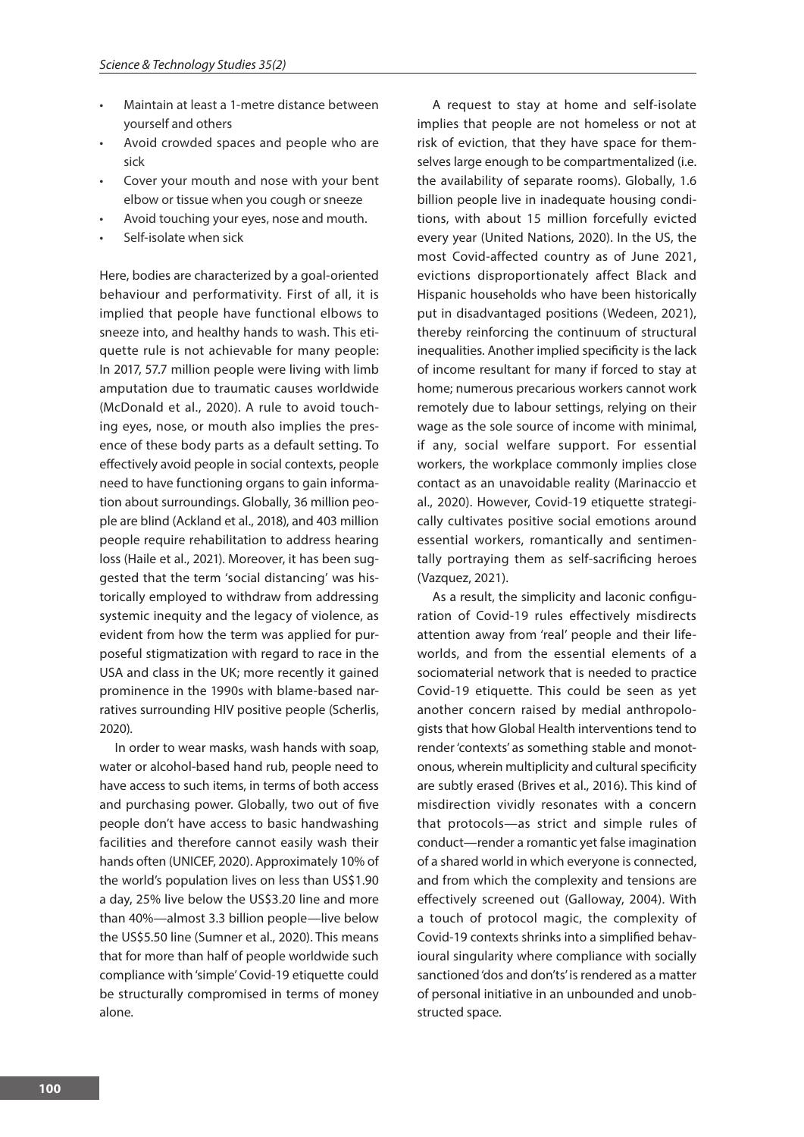- Maintain at least a 1-metre distance between yourself and others
- Avoid crowded spaces and people who are sick
- Cover your mouth and nose with your bent elbow or tissue when you cough or sneeze
- Avoid touching your eyes, nose and mouth.
- Self-isolate when sick

Here, bodies are characterized by a goal-oriented behaviour and performativity. First of all, it is implied that people have functional elbows to sneeze into, and healthy hands to wash. This etiquette rule is not achievable for many people: In 2017, 57.7 million people were living with limb amputation due to traumatic causes worldwide (McDonald et al., 2020). A rule to avoid touching eyes, nose, or mouth also implies the presence of these body parts as a default setting. To effectively avoid people in social contexts, people need to have functioning organs to gain information about surroundings. Globally, 36 million people are blind (Ackland et al., 2018), and 403 million people require rehabilitation to address hearing loss (Haile et al., 2021). Moreover, it has been suggested that the term 'social distancing' was historically employed to withdraw from addressing systemic inequity and the legacy of violence, as evident from how the term was applied for purposeful stigmatization with regard to race in the USA and class in the UK; more recently it gained prominence in the 1990s with blame-based narratives surrounding HIV positive people (Scherlis, 2020).

In order to wear masks, wash hands with soap, water or alcohol-based hand rub, people need to have access to such items, in terms of both access and purchasing power. Globally, two out of five people don't have access to basic handwashing facilities and therefore cannot easily wash their hands often (UNICEF, 2020). Approximately 10% of the world's population lives on less than US\$1.90 a day, 25% live below the US\$3.20 line and more than 40%—almost 3.3 billion people—live below the US\$5.50 line (Sumner et al., 2020). This means that for more than half of people worldwide such compliance with 'simple' Covid-19 etiquette could be structurally compromised in terms of money alone.

A request to stay at home and self-isolate implies that people are not homeless or not at risk of eviction, that they have space for themselves large enough to be compartmentalized (i.e. the availability of separate rooms). Globally, 1.6 billion people live in inadequate housing conditions, with about 15 million forcefully evicted every year (United Nations, 2020). In the US, the most Covid-affected country as of June 2021, evictions disproportionately affect Black and Hispanic households who have been historically put in disadvantaged positions (Wedeen, 2021), thereby reinforcing the continuum of structural inequalities. Another implied specificity is the lack of income resultant for many if forced to stay at home; numerous precarious workers cannot work remotely due to labour settings, relying on their wage as the sole source of income with minimal, if any, social welfare support. For essential workers, the workplace commonly implies close contact as an unavoidable reality (Marinaccio et al., 2020). However, Covid-19 etiquette strategically cultivates positive social emotions around essential workers, romantically and sentimentally portraying them as self-sacrificing heroes (Vazquez, 2021).

As a result, the simplicity and laconic configuration of Covid-19 rules effectively misdirects attention away from 'real' people and their lifeworlds, and from the essential elements of a sociomaterial network that is needed to practice Covid-19 etiquette. This could be seen as yet another concern raised by medial anthropologists that how Global Health interventions tend to render 'contexts' as something stable and monotonous, wherein multiplicity and cultural specificity are subtly erased (Brives et al., 2016). This kind of misdirection vividly resonates with a concern that protocols—as strict and simple rules of conduct—render a romantic yet false imagination of a shared world in which everyone is connected, and from which the complexity and tensions are effectively screened out (Galloway, 2004). With a touch of protocol magic, the complexity of Covid-19 contexts shrinks into a simplified behavioural singularity where compliance with socially sanctioned 'dos and don'ts' is rendered as a matter of personal initiative in an unbounded and unobstructed space.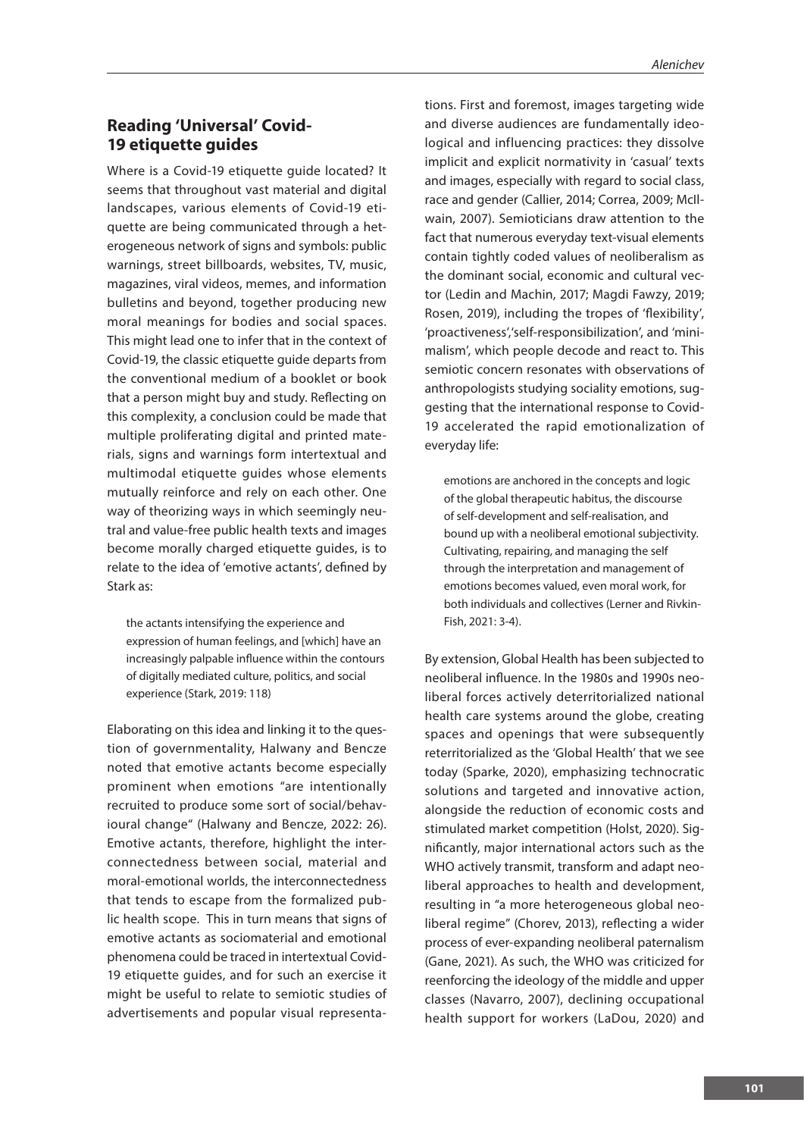## **Reading 'Universal' Covid-19 etiquette guides**

Where is a Covid-19 etiquette guide located? It seems that throughout vast material and digital landscapes, various elements of Covid-19 etiquette are being communicated through a heterogeneous network of signs and symbols: public warnings, street billboards, websites, TV, music, magazines, viral videos, memes, and information bulletins and beyond, together producing new moral meanings for bodies and social spaces. This might lead one to infer that in the context of Covid-19, the classic etiquette guide departs from the conventional medium of a booklet or book that a person might buy and study. Reflecting on this complexity, a conclusion could be made that multiple proliferating digital and printed materials, signs and warnings form intertextual and multimodal etiquette guides whose elements mutually reinforce and rely on each other. One way of theorizing ways in which seemingly neutral and value-free public health texts and images become morally charged etiquette guides, is to relate to the idea of 'emotive actants', defined by Stark as:

the actants intensifying the experience and expression of human feelings, and [which] have an increasingly palpable influence within the contours of digitally mediated culture, politics, and social experience (Stark, 2019: 118)

Elaborating on this idea and linking it to the question of governmentality, Halwany and Bencze noted that emotive actants become especially prominent when emotions "are intentionally recruited to produce some sort of social/behavioural change" (Halwany and Bencze, 2022: 26). Emotive actants, therefore, highlight the interconnectedness between social, material and moral-emotional worlds, the interconnectedness that tends to escape from the formalized public health scope. This in turn means that signs of emotive actants as sociomaterial and emotional phenomena could be traced in intertextual Covid-19 etiquette guides, and for such an exercise it might be useful to relate to semiotic studies of advertisements and popular visual representations. First and foremost, images targeting wide and diverse audiences are fundamentally ideological and influencing practices: they dissolve implicit and explicit normativity in 'casual' texts and images, especially with regard to social class, race and gender (Callier, 2014; Correa, 2009; McIlwain, 2007). Semioticians draw attention to the fact that numerous everyday text-visual elements contain tightly coded values of neoliberalism as the dominant social, economic and cultural vector (Ledin and Machin, 2017; Magdi Fawzy, 2019; Rosen, 2019), including the tropes of 'flexibility', 'proactiveness','self-responsibilization', and 'minimalism', which people decode and react to. This semiotic concern resonates with observations of anthropologists studying sociality emotions, suggesting that the international response to Covid-19 accelerated the rapid emotionalization of everyday life:

emotions are anchored in the concepts and logic of the global therapeutic habitus, the discourse of self-development and self-realisation, and bound up with a neoliberal emotional subjectivity. Cultivating, repairing, and managing the self through the interpretation and management of emotions becomes valued, even moral work, for both individuals and collectives (Lerner and Rivkin-Fish, 2021: 3-4).

By extension, Global Health has been subjected to neoliberal influence. In the 1980s and 1990s neoliberal forces actively deterritorialized national health care systems around the globe, creating spaces and openings that were subsequently reterritorialized as the 'Global Health' that we see today (Sparke, 2020), emphasizing technocratic solutions and targeted and innovative action, alongside the reduction of economic costs and stimulated market competition (Holst, 2020). Significantly, major international actors such as the WHO actively transmit, transform and adapt neoliberal approaches to health and development, resulting in "a more heterogeneous global neoliberal regime" (Chorev, 2013), reflecting a wider process of ever-expanding neoliberal paternalism (Gane, 2021). As such, the WHO was criticized for reenforcing the ideology of the middle and upper classes (Navarro, 2007), declining occupational health support for workers (LaDou, 2020) and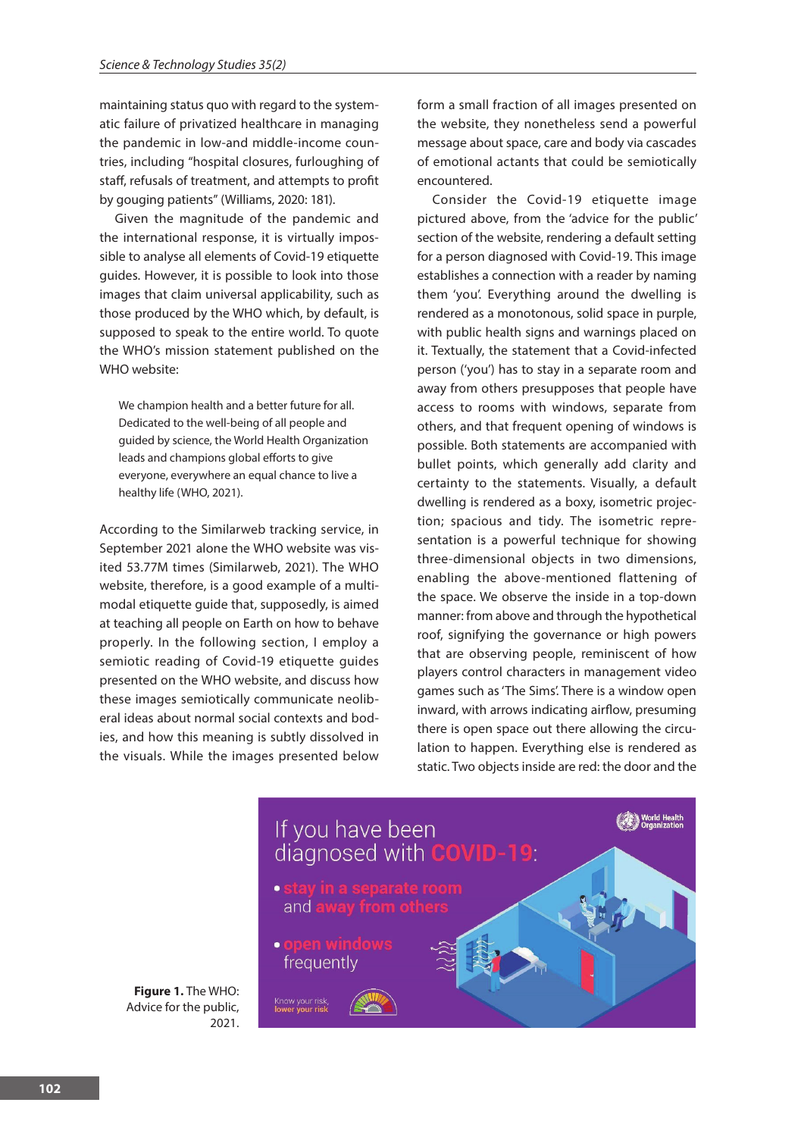maintaining status quo with regard to the systematic failure of privatized healthcare in managing the pandemic in low-and middle-income countries, including "hospital closures, furloughing of staff, refusals of treatment, and attempts to profit by gouging patients" (Williams, 2020: 181).

Given the magnitude of the pandemic and the international response, it is virtually impossible to analyse all elements of Covid-19 etiquette guides. However, it is possible to look into those images that claim universal applicability, such as those produced by the WHO which, by default, is supposed to speak to the entire world. To quote the WHO's mission statement published on the WHO website:

We champion health and a better future for all. Dedicated to the well-being of all people and guided by science, the World Health Organization leads and champions global efforts to give everyone, everywhere an equal chance to live a healthy life (WHO, 2021).

According to the Similarweb tracking service, in September 2021 alone the WHO website was visited 53.77M times (Similarweb, 2021). The WHO website, therefore, is a good example of a multimodal etiquette guide that, supposedly, is aimed at teaching all people on Earth on how to behave properly. In the following section, I employ a semiotic reading of Covid-19 etiquette guides presented on the WHO website, and discuss how these images semiotically communicate neoliberal ideas about normal social contexts and bodies, and how this meaning is subtly dissolved in the visuals. While the images presented below form a small fraction of all images presented on the website, they nonetheless send a powerful message about space, care and body via cascades of emotional actants that could be semiotically encountered.

Consider the Covid-19 etiquette image pictured above, from the 'advice for the public' section of the website, rendering a default setting for a person diagnosed with Covid-19. This image establishes a connection with a reader by naming them 'you'. Everything around the dwelling is rendered as a monotonous, solid space in purple, with public health signs and warnings placed on it. Textually, the statement that a Covid-infected person ('you') has to stay in a separate room and away from others presupposes that people have access to rooms with windows, separate from others, and that frequent opening of windows is possible. Both statements are accompanied with bullet points, which generally add clarity and certainty to the statements. Visually, a default dwelling is rendered as a boxy, isometric projection; spacious and tidy. The isometric representation is a powerful technique for showing three-dimensional objects in two dimensions, enabling the above-mentioned flattening of the space. We observe the inside in a top-down manner: from above and through the hypothetical roof, signifying the governance or high powers that are observing people, reminiscent of how players control characters in management video games such as 'The Sims'. There is a window open inward, with arrows indicating airflow, presuming there is open space out there allowing the circulation to happen. Everything else is rendered as static. Two objects inside are red: the door and the



**Figure 1.** The WHO: Advice for the public,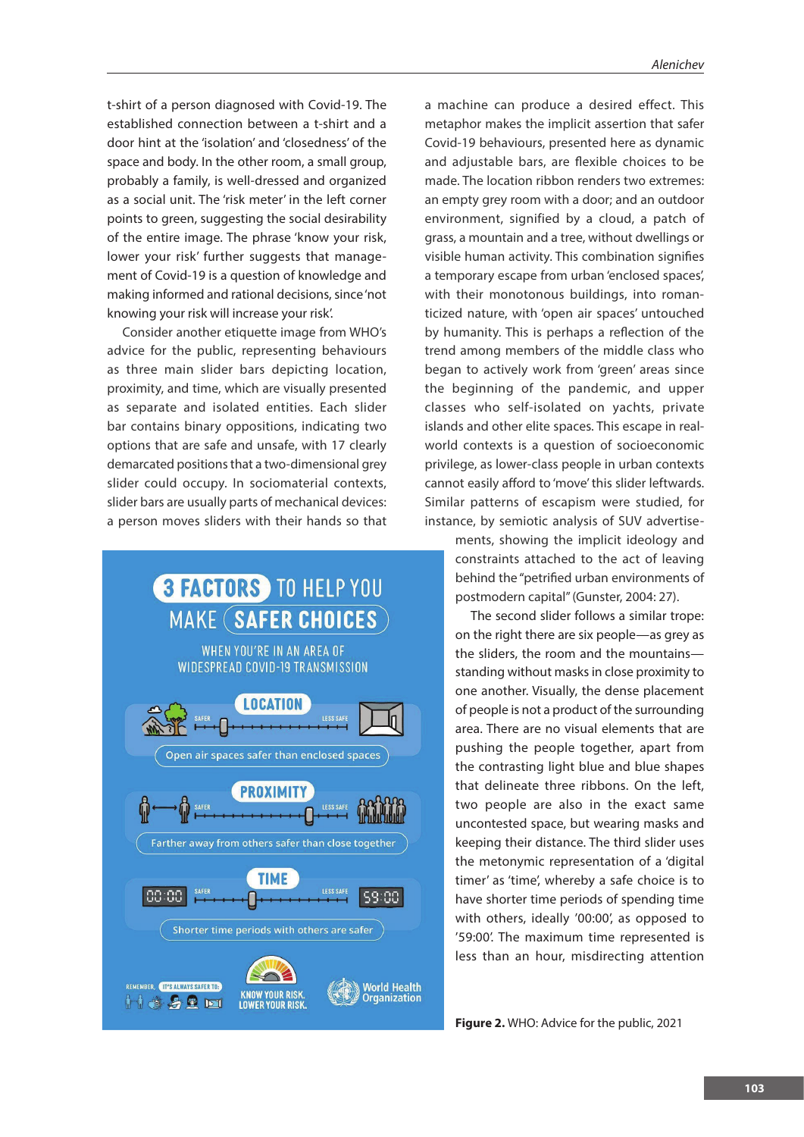t-shirt of a person diagnosed with Covid-19. The established connection between a t-shirt and a door hint at the 'isolation' and 'closedness' of the space and body. In the other room, a small group, probably a family, is well-dressed and organized as a social unit. The 'risk meter' in the left corner points to green, suggesting the social desirability of the entire image. The phrase 'know your risk, lower your risk' further suggests that management of Covid-19 is a question of knowledge and making informed and rational decisions, since 'not knowing your risk will increase your risk'.

Consider another etiquette image from WHO's advice for the public, representing behaviours as three main slider bars depicting location, proximity, and time, which are visually presented as separate and isolated entities. Each slider bar contains binary oppositions, indicating two options that are safe and unsafe, with 17 clearly demarcated positions that a two-dimensional grey slider could occupy. In sociomaterial contexts, slider bars are usually parts of mechanical devices: a person moves sliders with their hands so that



a machine can produce a desired effect. This metaphor makes the implicit assertion that safer Covid-19 behaviours, presented here as dynamic and adjustable bars, are flexible choices to be made. The location ribbon renders two extremes: an empty grey room with a door; and an outdoor environment, signified by a cloud, a patch of grass, a mountain and a tree, without dwellings or visible human activity. This combination signifies a temporary escape from urban 'enclosed spaces', with their monotonous buildings, into romanticized nature, with 'open air spaces' untouched by humanity. This is perhaps a reflection of the trend among members of the middle class who began to actively work from 'green' areas since the beginning of the pandemic, and upper classes who self-isolated on yachts, private islands and other elite spaces. This escape in realworld contexts is a question of socioeconomic privilege, as lower-class people in urban contexts cannot easily afford to 'move' this slider leftwards. Similar patterns of escapism were studied, for instance, by semiotic analysis of SUV advertise-

> ments, showing the implicit ideology and constraints attached to the act of leaving behind the "petrified urban environments of postmodern capital" (Gunster, 2004: 27).

> The second slider follows a similar trope: on the right there are six people—as grey as the sliders, the room and the mountains standing without masks in close proximity to one another. Visually, the dense placement of people is not a product of the surrounding area. There are no visual elements that are pushing the people together, apart from the contrasting light blue and blue shapes that delineate three ribbons. On the left, two people are also in the exact same uncontested space, but wearing masks and keeping their distance. The third slider uses the metonymic representation of a 'digital timer' as 'time', whereby a safe choice is to have shorter time periods of spending time with others, ideally '00:00', as opposed to '59:00'. The maximum time represented is less than an hour, misdirecting attention

**Figure 2.** WHO: Advice for the public, 2021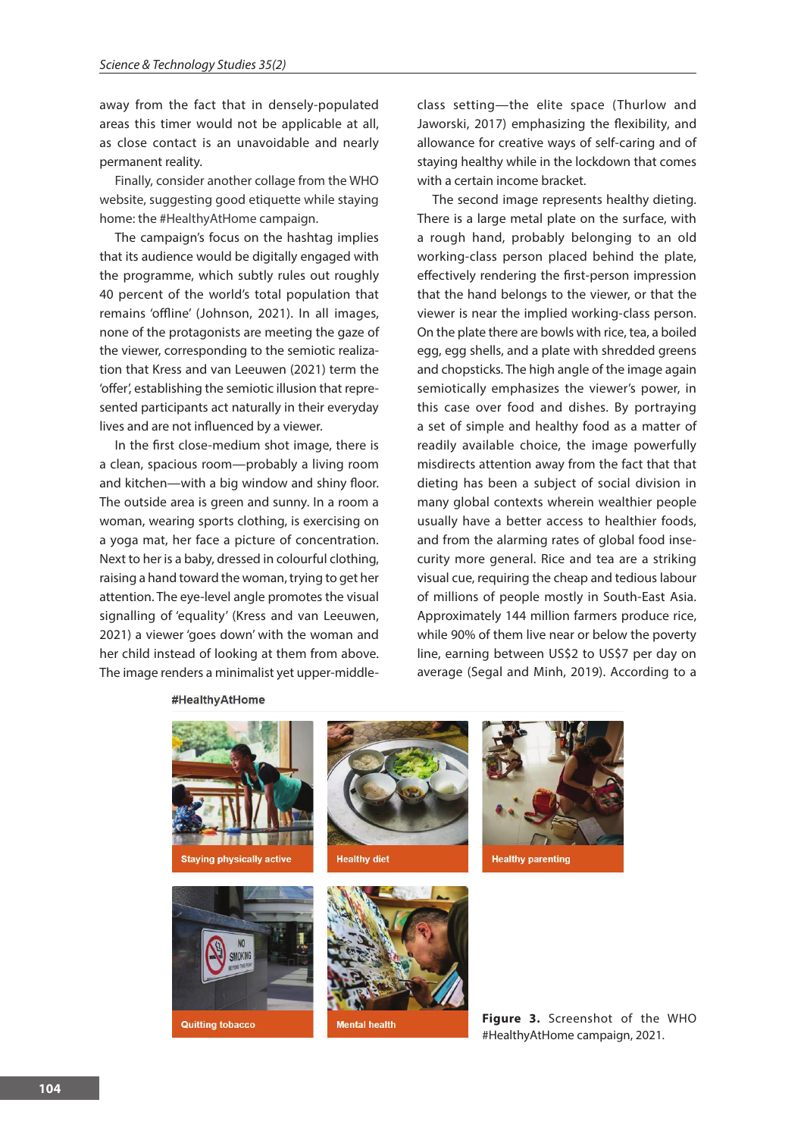away from the fact that in densely-populated areas this timer would not be applicable at all, as close contact is an unavoidable and nearly permanent reality.

Finally, consider another collage from the WHO website, suggesting good etiquette while staying home: the #HealthyAtHome campaign.

The campaign's focus on the hashtag implies that its audience would be digitally engaged with the programme, which subtly rules out roughly 40 percent of the world's total population that remains 'offline' (Johnson, 2021). In all images, none of the protagonists are meeting the gaze of the viewer, corresponding to the semiotic realization that Kress and van Leeuwen (2021) term the 'offer', establishing the semiotic illusion that represented participants act naturally in their everyday lives and are not influenced by a viewer.

In the first close-medium shot image, there is a clean, spacious room—probably a living room and kitchen—with a big window and shiny floor. The outside area is green and sunny. In a room a woman, wearing sports clothing, is exercising on a yoga mat, her face a picture of concentration. Next to her is a baby, dressed in colourful clothing, raising a hand toward the woman, trying to get her attention. The eye-level angle promotes the visual signalling of 'equality' (Kress and van Leeuwen, 2021) a viewer 'goes down' with the woman and her child instead of looking at them from above. The image renders a minimalist yet upper-middleclass setting—the elite space (Thurlow and Jaworski, 2017) emphasizing the flexibility, and allowance for creative ways of self-caring and of staying healthy while in the lockdown that comes with a certain income bracket.

The second image represents healthy dieting. There is a large metal plate on the surface, with a rough hand, probably belonging to an old working-class person placed behind the plate, effectively rendering the first-person impression that the hand belongs to the viewer, or that the viewer is near the implied working-class person. On the plate there are bowls with rice, tea, a boiled egg, egg shells, and a plate with shredded greens and chopsticks. The high angle of the image again semiotically emphasizes the viewer's power, in this case over food and dishes. By portraying a set of simple and healthy food as a matter of readily available choice, the image powerfully misdirects attention away from the fact that that dieting has been a subject of social division in many global contexts wherein wealthier people usually have a better access to healthier foods, and from the alarming rates of global food insecurity more general. Rice and tea are a striking visual cue, requiring the cheap and tedious labour of millions of people mostly in South-East Asia. Approximately 144 million farmers produce rice, while 90% of them live near or below the poverty line, earning between US\$2 to US\$7 per day on average (Segal and Minh, 2019). According to a

#HealthyAtHome



**Figure 3.** Screenshot of the WHO #HealthyAtHome campaign, 2021.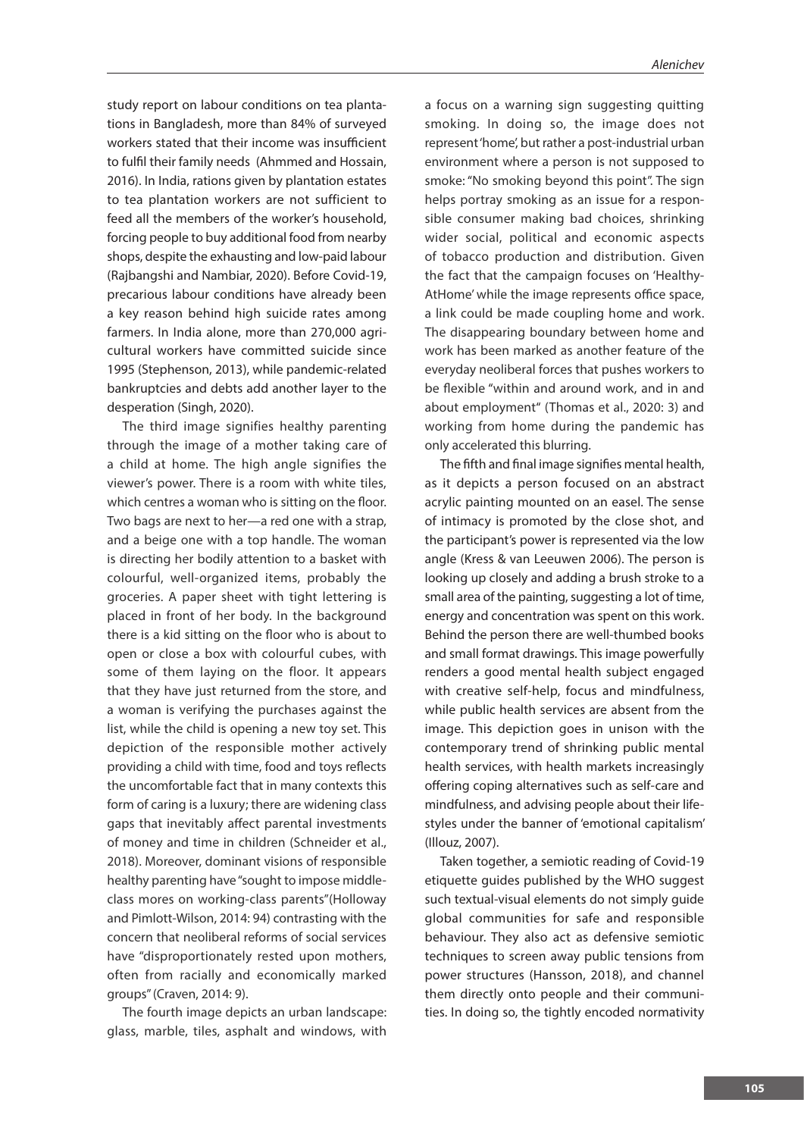study report on labour conditions on tea plantations in Bangladesh, more than 84% of surveyed workers stated that their income was insufficient to fulfil their family needs (Ahmmed and Hossain, 2016). In India, rations given by plantation estates to tea plantation workers are not sufficient to feed all the members of the worker's household, forcing people to buy additional food from nearby shops, despite the exhausting and low-paid labour (Rajbangshi and Nambiar, 2020). Before Covid-19, precarious labour conditions have already been a key reason behind high suicide rates among farmers. In India alone, more than 270,000 agricultural workers have committed suicide since 1995 (Stephenson, 2013), while pandemic-related bankruptcies and debts add another layer to the desperation (Singh, 2020).

The third image signifies healthy parenting through the image of a mother taking care of a child at home. The high angle signifies the viewer's power. There is a room with white tiles, which centres a woman who is sitting on the floor. Two bags are next to her—a red one with a strap, and a beige one with a top handle. The woman is directing her bodily attention to a basket with colourful, well-organized items, probably the groceries. A paper sheet with tight lettering is placed in front of her body. In the background there is a kid sitting on the floor who is about to open or close a box with colourful cubes, with some of them laying on the floor. It appears that they have just returned from the store, and a woman is verifying the purchases against the list, while the child is opening a new toy set. This depiction of the responsible mother actively providing a child with time, food and toys reflects the uncomfortable fact that in many contexts this form of caring is a luxury; there are widening class gaps that inevitably affect parental investments of money and time in children (Schneider et al., 2018). Moreover, dominant visions of responsible healthy parenting have "sought to impose middleclass mores on working-class parents"(Holloway and Pimlott-Wilson, 2014: 94) contrasting with the concern that neoliberal reforms of social services have "disproportionately rested upon mothers, often from racially and economically marked groups" (Craven, 2014: 9).

The fourth image depicts an urban landscape: glass, marble, tiles, asphalt and windows, with a focus on a warning sign suggesting quitting smoking. In doing so, the image does not represent 'home', but rather a post-industrial urban environment where a person is not supposed to smoke: "No smoking beyond this point". The sign helps portray smoking as an issue for a responsible consumer making bad choices, shrinking wider social, political and economic aspects of tobacco production and distribution. Given the fact that the campaign focuses on 'Healthy-AtHome' while the image represents office space, a link could be made coupling home and work. The disappearing boundary between home and work has been marked as another feature of the everyday neoliberal forces that pushes workers to be flexible "within and around work, and in and about employment" (Thomas et al., 2020: 3) and working from home during the pandemic has only accelerated this blurring.

The fifth and final image signifies mental health, as it depicts a person focused on an abstract acrylic painting mounted on an easel. The sense of intimacy is promoted by the close shot, and the participant's power is represented via the low angle (Kress & van Leeuwen 2006). The person is looking up closely and adding a brush stroke to a small area of the painting, suggesting a lot of time, energy and concentration was spent on this work. Behind the person there are well-thumbed books and small format drawings. This image powerfully renders a good mental health subject engaged with creative self-help, focus and mindfulness, while public health services are absent from the image. This depiction goes in unison with the contemporary trend of shrinking public mental health services, with health markets increasingly offering coping alternatives such as self-care and mindfulness, and advising people about their lifestyles under the banner of 'emotional capitalism' (Illouz, 2007).

Taken together, a semiotic reading of Covid-19 etiquette guides published by the WHO suggest such textual-visual elements do not simply guide global communities for safe and responsible behaviour. They also act as defensive semiotic techniques to screen away public tensions from power structures (Hansson, 2018), and channel them directly onto people and their communities. In doing so, the tightly encoded normativity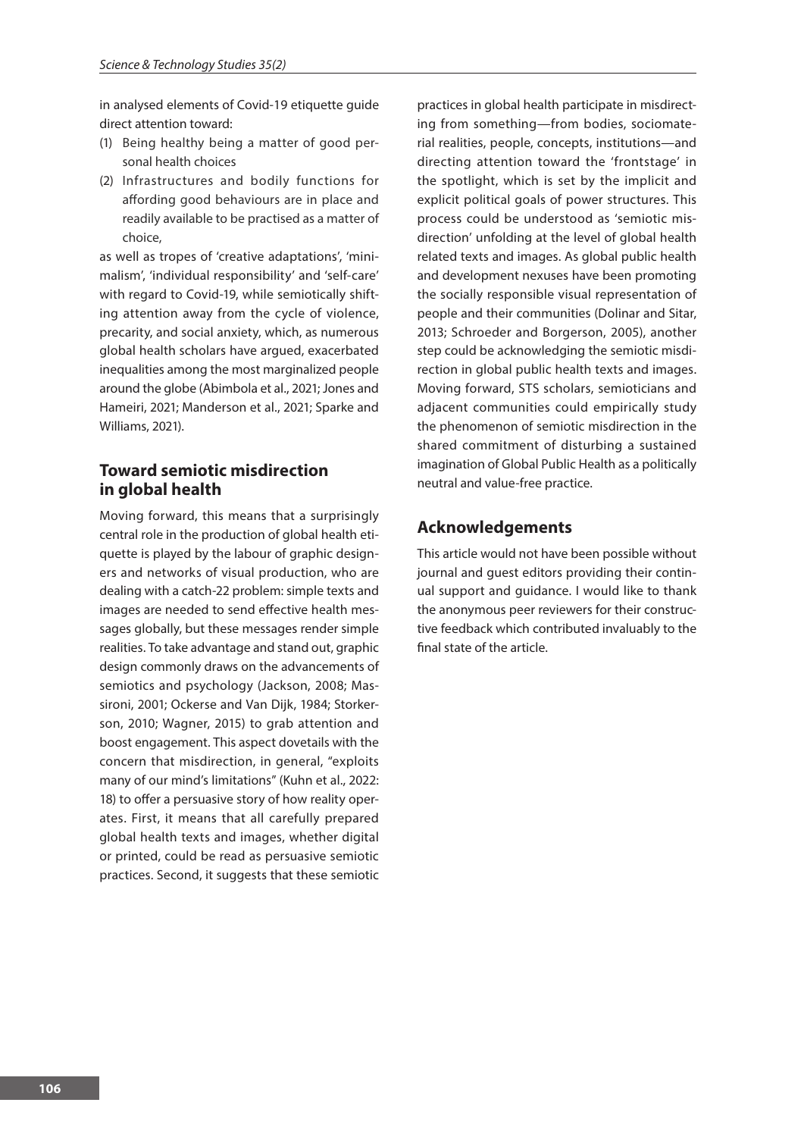in analysed elements of Covid-19 etiquette guide direct attention toward:

- (1) Being healthy being a matter of good personal health choices
- (2) Infrastructures and bodily functions for affording good behaviours are in place and readily available to be practised as a matter of choice,

as well as tropes of 'creative adaptations', 'minimalism', 'individual responsibility' and 'self-care' with regard to Covid-19, while semiotically shifting attention away from the cycle of violence, precarity, and social anxiety, which, as numerous global health scholars have argued, exacerbated inequalities among the most marginalized people around the globe (Abimbola et al., 2021; Jones and Hameiri, 2021; Manderson et al., 2021; Sparke and Williams, 2021).

# **Toward semiotic misdirection in global health**

Moving forward, this means that a surprisingly central role in the production of global health etiquette is played by the labour of graphic designers and networks of visual production, who are dealing with a catch-22 problem: simple texts and images are needed to send effective health messages globally, but these messages render simple realities. To take advantage and stand out, graphic design commonly draws on the advancements of semiotics and psychology (Jackson, 2008; Massironi, 2001; Ockerse and Van Dijk, 1984; Storkerson, 2010; Wagner, 2015) to grab attention and boost engagement. This aspect dovetails with the concern that misdirection, in general, "exploits many of our mind's limitations" (Kuhn et al., 2022: 18) to offer a persuasive story of how reality operates. First, it means that all carefully prepared global health texts and images, whether digital or printed, could be read as persuasive semiotic practices. Second, it suggests that these semiotic

practices in global health participate in misdirecting from something—from bodies, sociomaterial realities, people, concepts, institutions—and directing attention toward the 'frontstage' in the spotlight, which is set by the implicit and explicit political goals of power structures. This process could be understood as 'semiotic misdirection' unfolding at the level of global health related texts and images. As global public health and development nexuses have been promoting the socially responsible visual representation of people and their communities (Dolinar and Sitar, 2013; Schroeder and Borgerson, 2005), another step could be acknowledging the semiotic misdirection in global public health texts and images. Moving forward, STS scholars, semioticians and adjacent communities could empirically study the phenomenon of semiotic misdirection in the shared commitment of disturbing a sustained imagination of Global Public Health as a politically neutral and value-free practice.

# **Acknowledgements**

This article would not have been possible without journal and guest editors providing their continual support and guidance. I would like to thank the anonymous peer reviewers for their constructive feedback which contributed invaluably to the final state of the article.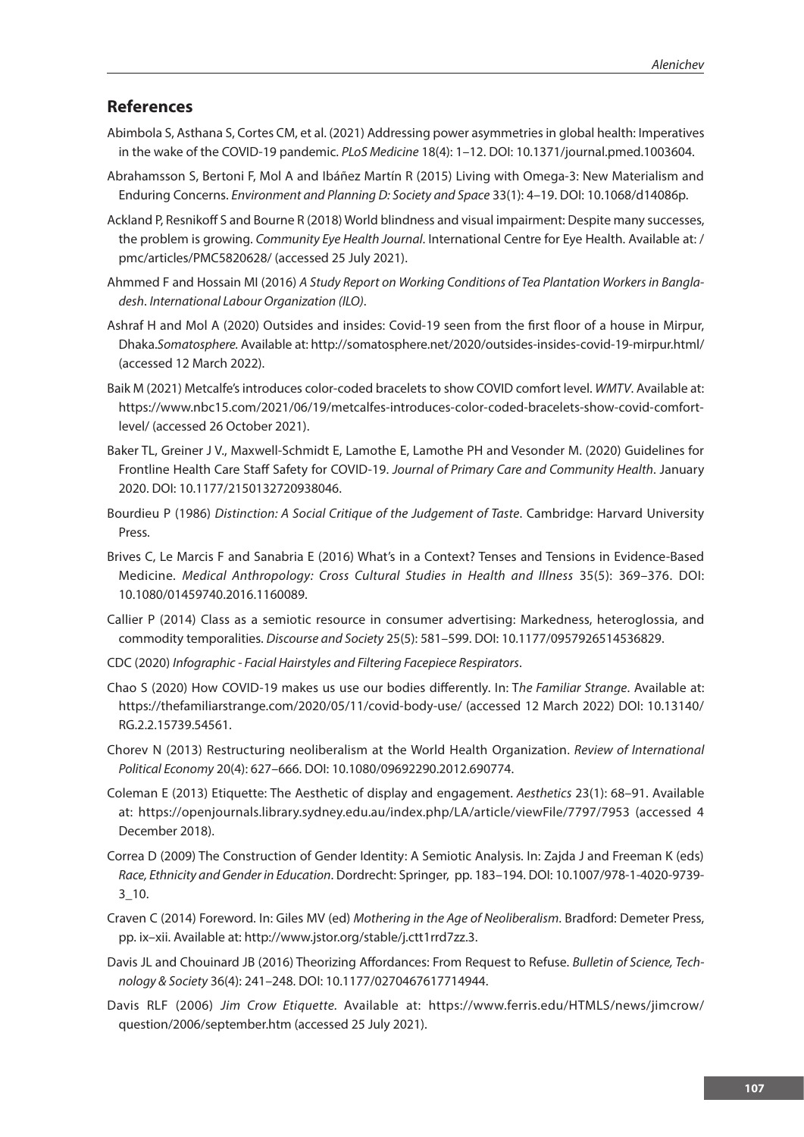#### **References**

- Abimbola S, Asthana S, Cortes CM, et al. (2021) Addressing power asymmetries in global health: Imperatives in the wake of the COVID-19 pandemic. *PLoS Medicine* 18(4): 1–12. DOI: 10.1371/journal.pmed.1003604.
- Abrahamsson S, Bertoni F, Mol A and Ibáñez Martín R (2015) Living with Omega-3: New Materialism and Enduring Concerns. *Environment and Planning D: Society and Space* 33(1): 4–19. DOI: 10.1068/d14086p.
- Ackland P, Resnikoff S and Bourne R (2018) World blindness and visual impairment: Despite many successes, the problem is growing. *Community Eye Health Journal*. International Centre for Eye Health. Available at: / pmc/articles/PMC5820628/ (accessed 25 July 2021).
- Ahmmed F and Hossain MI (2016) *A Study Report on Working Conditions of Tea Plantation Workers in Bangladesh*. *International Labour Organization (ILO)*.
- Ashraf H and Mol A (2020) Outsides and insides: Covid-19 seen from the first floor of a house in Mirpur, Dhaka.*Somatosphere.* Available at: http://somatosphere.net/2020/outsides-insides-covid-19-mirpur.html/ (accessed 12 March 2022).
- Baik M (2021) Metcalfe's introduces color-coded bracelets to show COVID comfort level. *WMTV*. Available at: https://www.nbc15.com/2021/06/19/metcalfes-introduces-color-coded-bracelets-show-covid-comfortlevel/ (accessed 26 October 2021).
- Baker TL, Greiner J V., Maxwell-Schmidt E, Lamothe E, Lamothe PH and Vesonder M. (2020) Guidelines for Frontline Health Care Staff Safety for COVID-19. *Journal of Primary Care and Community Health*. January 2020. DOI: 10.1177/2150132720938046.
- Bourdieu P (1986) *Distinction: A Social Critique of the Judgement of Taste*. Cambridge: Harvard University Press.
- Brives C, Le Marcis F and Sanabria E (2016) What's in a Context? Tenses and Tensions in Evidence-Based Medicine. *Medical Anthropology: Cross Cultural Studies in Health and Illness* 35(5): 369–376. DOI: 10.1080/01459740.2016.1160089.
- Callier P (2014) Class as a semiotic resource in consumer advertising: Markedness, heteroglossia, and commodity temporalities. *Discourse and Society* 25(5): 581–599. DOI: 10.1177/0957926514536829.
- CDC (2020) *Infographic Facial Hairstyles and Filtering Facepiece Respirators*.
- Chao S (2020) How COVID-19 makes us use our bodies differently. In: T*he Familiar Strange*. Available at: https://thefamiliarstrange.com/2020/05/11/covid-body-use/ (accessed 12 March 2022) DOI: 10.13140/ RG.2.2.15739.54561.
- Chorev N (2013) Restructuring neoliberalism at the World Health Organization. *Review of International Political Economy* 20(4): 627–666. DOI: 10.1080/09692290.2012.690774.
- Coleman E (2013) Etiquette: The Aesthetic of display and engagement. *Aesthetics* 23(1): 68–91. Available at: https://openjournals.library.sydney.edu.au/index.php/LA/article/viewFile/7797/7953 (accessed 4 December 2018).
- Correa D (2009) The Construction of Gender Identity: A Semiotic Analysis. In: Zajda J and Freeman K (eds) *Race, Ethnicity and Gender in Education*. Dordrecht: Springer, pp. 183–194. DOI: 10.1007/978-1-4020-9739- 3\_10.
- Craven C (2014) Foreword. In: Giles MV (ed) *Mothering in the Age of Neoliberalism*. Bradford: Demeter Press, pp. ix–xii. Available at: http://www.jstor.org/stable/j.ctt1rrd7zz.3.
- Davis JL and Chouinard JB (2016) Theorizing Affordances: From Request to Refuse. *Bulletin of Science, Technology & Society* 36(4): 241–248. DOI: 10.1177/0270467617714944.
- Davis RLF (2006) *Jim Crow Etiquette.* Available at: https://www.ferris.edu/HTMLS/news/jimcrow/ question/2006/september.htm (accessed 25 July 2021).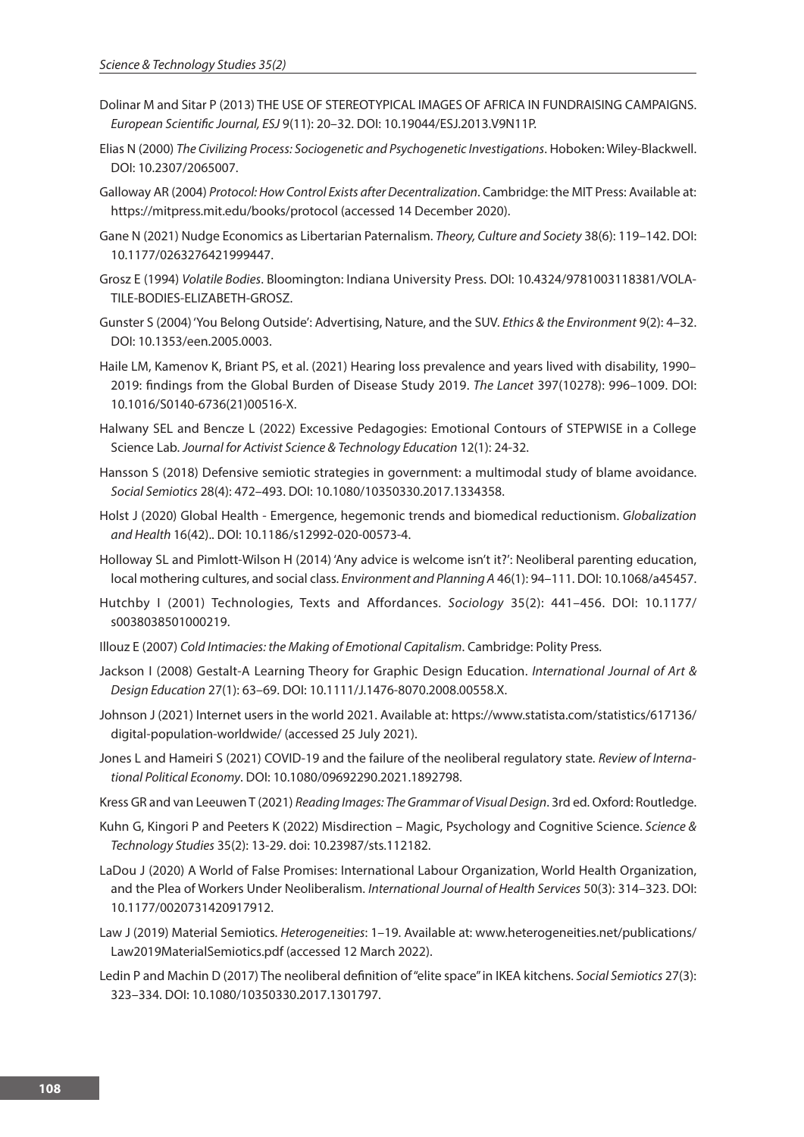- Dolinar M and Sitar P (2013) THE USE OF STEREOTYPICAL IMAGES OF AFRICA IN FUNDRAISING CAMPAIGNS. *European Scientific Journal, ESJ* 9(11): 20–32. DOI: 10.19044/ESJ.2013.V9N11P.
- Elias N (2000) *The Civilizing Process: Sociogenetic and Psychogenetic Investigations*. Hoboken: Wiley-Blackwell. DOI: 10.2307/2065007.
- Galloway AR (2004) *Protocol: How Control Exists after Decentralization*. Cambridge: the MIT Press: Available at: https://mitpress.mit.edu/books/protocol (accessed 14 December 2020).
- Gane N (2021) Nudge Economics as Libertarian Paternalism. *Theory, Culture and Society* 38(6): 119–142. DOI: 10.1177/0263276421999447.
- Grosz E (1994) *Volatile Bodies*. Bloomington: Indiana University Press. DOI: 10.4324/9781003118381/VOLA-TILE-BODIES-ELIZABETH-GROSZ.
- Gunster S (2004) 'You Belong Outside': Advertising, Nature, and the SUV. *Ethics & the Environment* 9(2): 4–32. DOI: 10.1353/een.2005.0003.
- Haile LM, Kamenov K, Briant PS, et al. (2021) Hearing loss prevalence and years lived with disability, 1990– 2019: findings from the Global Burden of Disease Study 2019. *The Lancet* 397(10278): 996–1009. DOI: 10.1016/S0140-6736(21)00516-X.
- Halwany SEL and Bencze L (2022) Excessive Pedagogies: Emotional Contours of STEPWISE in a College Science Lab. *Journal for Activist Science & Technology Education* 12(1): 24-32.
- Hansson S (2018) Defensive semiotic strategies in government: a multimodal study of blame avoidance. *Social Semiotics* 28(4): 472–493. DOI: 10.1080/10350330.2017.1334358.
- Holst J (2020) Global Health Emergence, hegemonic trends and biomedical reductionism. *Globalization and Health* 16(42).. DOI: 10.1186/s12992-020-00573-4.
- Holloway SL and Pimlott-Wilson H (2014) 'Any advice is welcome isn't it?': Neoliberal parenting education, local mothering cultures, and social class. *Environment and Planning A* 46(1): 94–111. DOI: 10.1068/a45457.
- Hutchby I (2001) Technologies, Texts and Affordances. *Sociology* 35(2): 441–456. DOI: 10.1177/ s0038038501000219.
- Illouz E (2007) *Cold Intimacies: the Making of Emotional Capitalism*. Cambridge: Polity Press.
- Jackson I (2008) Gestalt-A Learning Theory for Graphic Design Education. *International Journal of Art & Design Education* 27(1): 63–69. DOI: 10.1111/J.1476-8070.2008.00558.X.
- Johnson J (2021) Internet users in the world 2021. Available at: https://www.statista.com/statistics/617136/ digital-population-worldwide/ (accessed 25 July 2021).
- Jones L and Hameiri S (2021) COVID-19 and the failure of the neoliberal regulatory state. *Review of International Political Economy*. DOI: 10.1080/09692290.2021.1892798.
- Kress GR and van Leeuwen T (2021) *Reading Images: The Grammar of Visual Design*. 3rd ed. Oxford: Routledge.
- Kuhn G, Kingori P and Peeters K (2022) Misdirection Magic, Psychology and Cognitive Science. *Science & Technology Studies* 35(2): 13-29. doi: 10.23987/sts.112182.
- LaDou J (2020) A World of False Promises: International Labour Organization, World Health Organization, and the Plea of Workers Under Neoliberalism. *International Journal of Health Services* 50(3): 314–323. DOI: 10.1177/0020731420917912.
- Law J (2019) Material Semiotics. *Heterogeneities*: 1–19. Available at: www.heterogeneities.net/publications/ Law2019MaterialSemiotics.pdf (accessed 12 March 2022).
- Ledin P and Machin D (2017) The neoliberal definition of "elite space" in IKEA kitchens. *Social Semiotics* 27(3): 323–334. DOI: 10.1080/10350330.2017.1301797.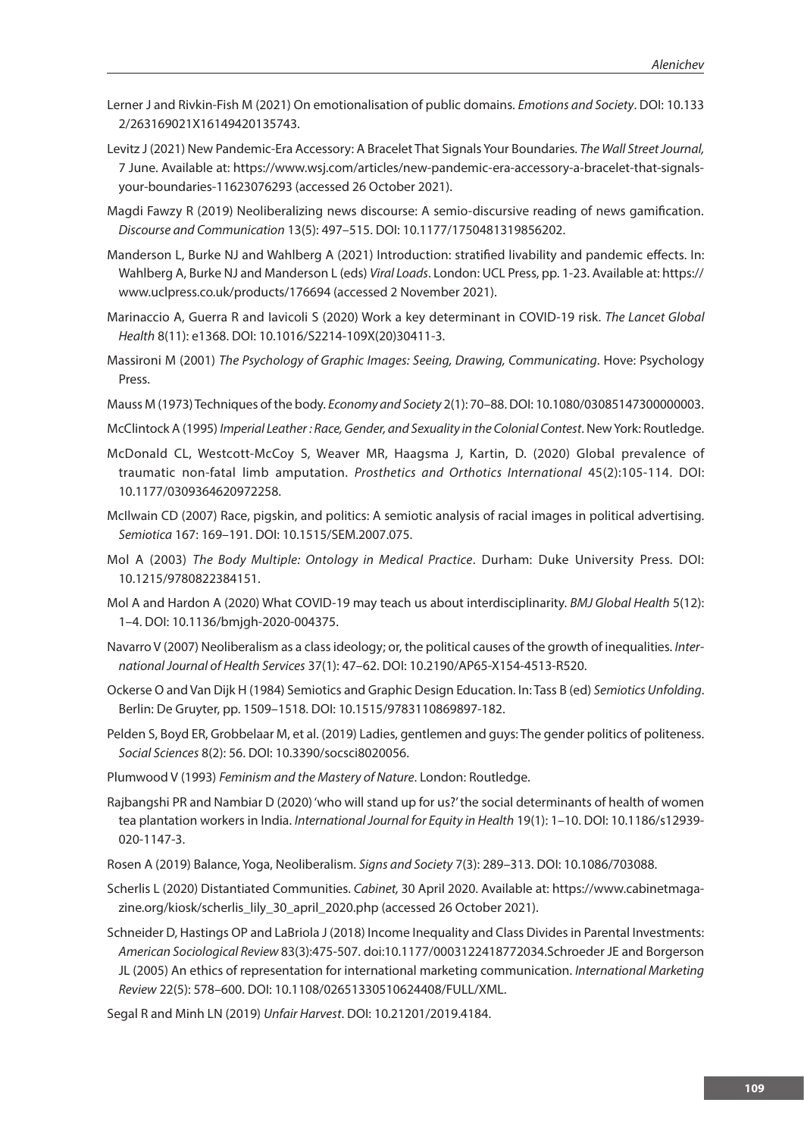- Lerner J and Rivkin-Fish M (2021) On emotionalisation of public domains. *Emotions and Society*. DOI: 10.133 2/263169021X16149420135743.
- Levitz J (2021) New Pandemic-Era Accessory: A Bracelet That Signals Your Boundaries. *The Wall Street Journal,*  7 June. Available at: https://www.wsj.com/articles/new-pandemic-era-accessory-a-bracelet-that-signalsyour-boundaries-11623076293 (accessed 26 October 2021).
- Magdi Fawzy R (2019) Neoliberalizing news discourse: A semio-discursive reading of news gamification. *Discourse and Communication* 13(5): 497–515. DOI: 10.1177/1750481319856202.
- Manderson L, Burke NJ and Wahlberg A (2021) Introduction: stratified livability and pandemic effects. In: Wahlberg A, Burke NJ and Manderson L (eds) *Viral Loads*. London: UCL Press, pp. 1-23. Available at: https:// www.uclpress.co.uk/products/176694 (accessed 2 November 2021).
- Marinaccio A, Guerra R and Iavicoli S (2020) Work a key determinant in COVID-19 risk. *The Lancet Global Health* 8(11): e1368. DOI: 10.1016/S2214-109X(20)30411-3.
- Massironi M (2001) *The Psychology of Graphic Images: Seeing, Drawing, Communicating*. Hove: Psychology Press.
- Mauss M (1973) Techniques of the body. *Economy and Society* 2(1): 70–88. DOI: 10.1080/03085147300000003.
- McClintock A (1995) *Imperial Leather : Race, Gender, and Sexuality in the Colonial Contest*. New York: Routledge.
- McDonald CL, Westcott-McCoy S, Weaver MR, Haagsma J, Kartin, D. (2020) Global prevalence of traumatic non-fatal limb amputation. *Prosthetics and Orthotics International* 45(2):105-114. DOI: 10.1177/0309364620972258.
- McIlwain CD (2007) Race, pigskin, and politics: A semiotic analysis of racial images in political advertising. *Semiotica* 167: 169–191. DOI: 10.1515/SEM.2007.075.
- Mol A (2003) *The Body Multiple: Ontology in Medical Practice*. Durham: Duke University Press. DOI: 10.1215/9780822384151.
- Mol A and Hardon A (2020) What COVID-19 may teach us about interdisciplinarity. *BMJ Global Health* 5(12): 1–4. DOI: 10.1136/bmjgh-2020-004375.
- Navarro V (2007) Neoliberalism as a class ideology; or, the political causes of the growth of inequalities. *International Journal of Health Services* 37(1): 47–62. DOI: 10.2190/AP65-X154-4513-R520.
- Ockerse O and Van Dijk H (1984) Semiotics and Graphic Design Education. In: Tass B (ed) *Semiotics Unfolding*. Berlin: De Gruyter, pp. 1509–1518. DOI: 10.1515/9783110869897-182.
- Pelden S, Boyd ER, Grobbelaar M, et al. (2019) Ladies, gentlemen and guys: The gender politics of politeness. *Social Sciences* 8(2): 56. DOI: 10.3390/socsci8020056.
- Plumwood V (1993) *Feminism and the Mastery of Nature*. London: Routledge.
- Rajbangshi PR and Nambiar D (2020) 'who will stand up for us?' the social determinants of health of women tea plantation workers in India. *International Journal for Equity in Health* 19(1): 1–10. DOI: 10.1186/s12939- 020-1147-3.
- Rosen A (2019) Balance, Yoga, Neoliberalism. *Signs and Society* 7(3): 289–313. DOI: 10.1086/703088.
- Scherlis L (2020) Distantiated Communities. *Cabinet,* 30 April 2020. Available at: https://www.cabinetmagazine.org/kiosk/scherlis\_lily\_30\_april\_2020.php (accessed 26 October 2021).
- Schneider D, Hastings OP and LaBriola J (2018) Income Inequality and Class Divides in Parental Investments: *American Sociological Review* 83(3):475-507. doi:10.1177/0003122418772034.Schroeder JE and Borgerson JL (2005) An ethics of representation for international marketing communication. *International Marketing Review* 22(5): 578–600. DOI: 10.1108/02651330510624408/FULL/XML.
- Segal R and Minh LN (2019) *Unfair Harvest*. DOI: 10.21201/2019.4184.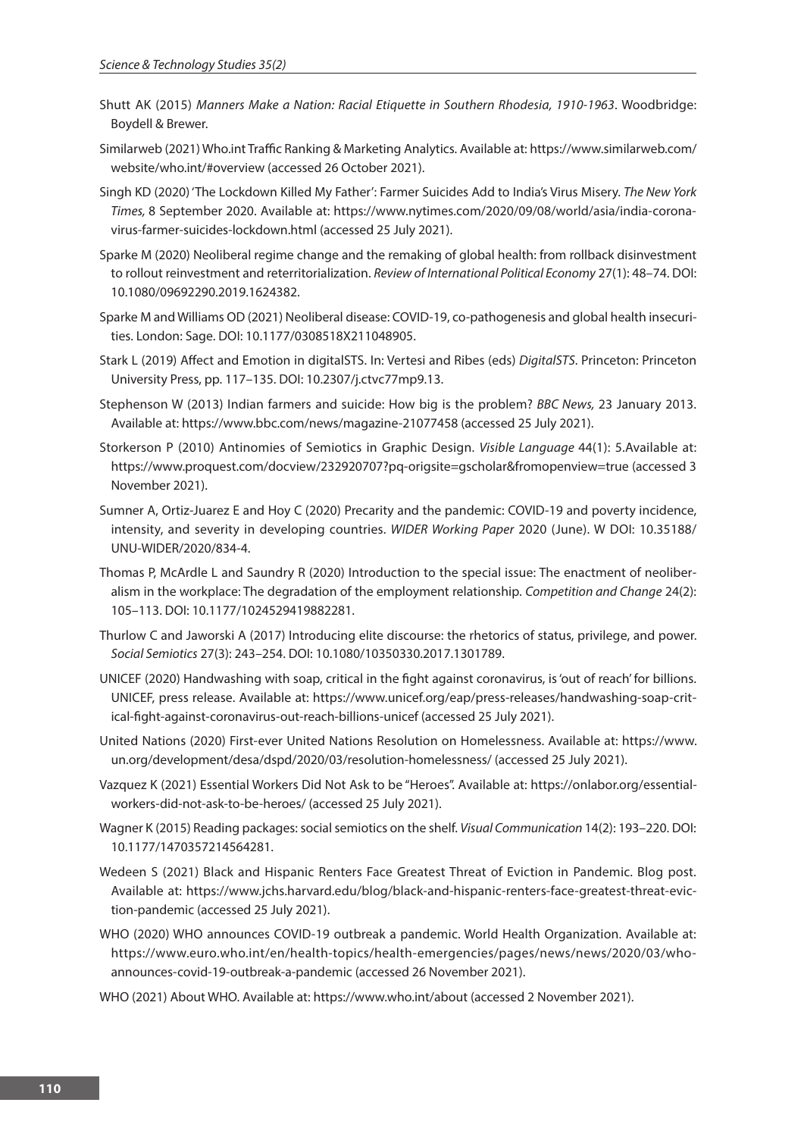- Shutt AK (2015) *Manners Make a Nation: Racial Etiquette in Southern Rhodesia, 1910-1963*. Woodbridge: Boydell & Brewer.
- Similarweb (2021) Who.int Traffic Ranking & Marketing Analytics. Available at: https://www.similarweb.com/ website/who.int/#overview (accessed 26 October 2021).
- Singh KD (2020) 'The Lockdown Killed My Father': Farmer Suicides Add to India's Virus Misery. *The New York Times,* 8 September 2020. Available at: https://www.nytimes.com/2020/09/08/world/asia/india-coronavirus-farmer-suicides-lockdown.html (accessed 25 July 2021).
- Sparke M (2020) Neoliberal regime change and the remaking of global health: from rollback disinvestment to rollout reinvestment and reterritorialization. *Review of International Political Economy* 27(1): 48–74. DOI: 10.1080/09692290.2019.1624382.
- Sparke M and Williams OD (2021) Neoliberal disease: COVID-19, co-pathogenesis and global health insecurities. London: Sage. DOI: 10.1177/0308518X211048905.
- Stark L (2019) Affect and Emotion in digitalSTS. In: Vertesi and Ribes (eds) *DigitalSTS*. Princeton: Princeton University Press, pp. 117–135. DOI: 10.2307/j.ctvc77mp9.13.
- Stephenson W (2013) Indian farmers and suicide: How big is the problem? *BBC News,* 23 January 2013. Available at: https://www.bbc.com/news/magazine-21077458 (accessed 25 July 2021).
- Storkerson P (2010) Antinomies of Semiotics in Graphic Design. *Visible Language* 44(1): 5.Available at: https://www.proquest.com/docview/232920707?pq-origsite=gscholar&fromopenview=true (accessed 3 November 2021).
- Sumner A, Ortiz-Juarez E and Hoy C (2020) Precarity and the pandemic: COVID-19 and poverty incidence, intensity, and severity in developing countries. *WIDER Working Paper* 2020 (June). W DOI: 10.35188/ UNU-WIDER/2020/834-4.
- Thomas P, McArdle L and Saundry R (2020) Introduction to the special issue: The enactment of neoliberalism in the workplace: The degradation of the employment relationship. *Competition and Change* 24(2): 105–113. DOI: 10.1177/1024529419882281.
- Thurlow C and Jaworski A (2017) Introducing elite discourse: the rhetorics of status, privilege, and power. *Social Semiotics* 27(3): 243–254. DOI: 10.1080/10350330.2017.1301789.
- UNICEF (2020) Handwashing with soap, critical in the fight against coronavirus, is 'out of reach' for billions. UNICEF, press release. Available at: https://www.unicef.org/eap/press-releases/handwashing-soap-critical-fight-against-coronavirus-out-reach-billions-unicef (accessed 25 July 2021).
- United Nations (2020) First-ever United Nations Resolution on Homelessness. Available at: https://www. un.org/development/desa/dspd/2020/03/resolution-homelessness/ (accessed 25 July 2021).
- Vazquez K (2021) Essential Workers Did Not Ask to be "Heroes". Available at: https://onlabor.org/essentialworkers-did-not-ask-to-be-heroes/ (accessed 25 July 2021).
- Wagner K (2015) Reading packages: social semiotics on the shelf. *Visual Communication* 14(2): 193–220. DOI: 10.1177/1470357214564281.
- Wedeen S (2021) Black and Hispanic Renters Face Greatest Threat of Eviction in Pandemic. Blog post. Available at: https://www.jchs.harvard.edu/blog/black-and-hispanic-renters-face-greatest-threat-eviction-pandemic (accessed 25 July 2021).
- WHO (2020) WHO announces COVID-19 outbreak a pandemic. World Health Organization. Available at: https://www.euro.who.int/en/health-topics/health-emergencies/pages/news/news/2020/03/whoannounces-covid-19-outbreak-a-pandemic (accessed 26 November 2021).
- WHO (2021) About WHO. Available at: https://www.who.int/about (accessed 2 November 2021).